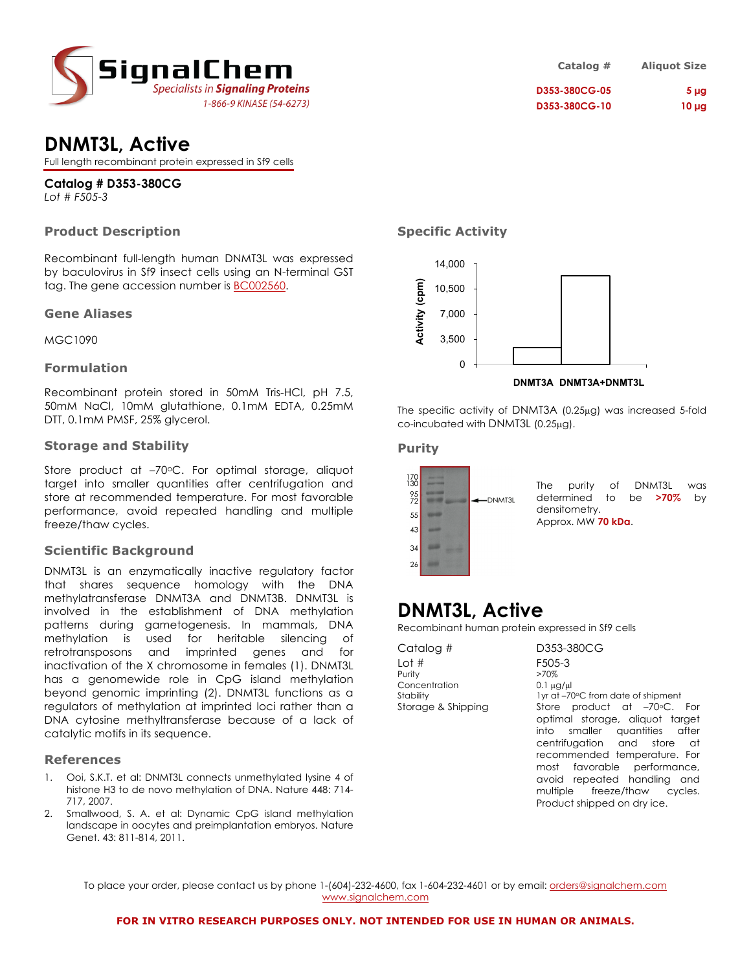

# **DNMT3L, Active**

Full length recombinant protein expressed in Sf9 cells

# **Catalog # D353-380CG**

*Lot # F505-3*

## **Product Description**

Recombinant full-length human DNMT3L was expressed by baculovirus in Sf9 insect cells using an N-terminal GST tag. The gene accession number is BC002560.

### **Gene Aliases**

MGC1090

## **Formulation**

Recombinant protein stored in 50mM Tris-HCl, pH 7.5, 50mM NaCl, 10mM glutathione, 0.1mM EDTA, 0.25mM DTT, 0.1mM PMSF, 25% glycerol.

### **Storage and Stability**

Store product at -70°C. For optimal storage, aliquot target into smaller quantities after centrifugation and store at recommended temperature. For most favorable performance, avoid repeated handling and multiple freeze/thaw cycles.

### **Scientific Background**

DNMT3L is an enzymatically inactive regulatory factor that shares sequence homology with the DNA methylatransferase DNMT3A and DNMT3B. DNMT3L is involved in the establishment of DNA methylation patterns during gametogenesis. In mammals, DNA methylation is used for heritable silencing of retrotransposons and imprinted genes and for inactivation of the X chromosome in females (1). DNMT3L has a genomewide role in CpG island methylation beyond genomic imprinting (2). DNMT3L functions as a regulators of methylation at imprinted loci rather than a DNA cytosine methyltransferase because of a lack of catalytic motifs in its sequence.

### **References**

- 1. Ooi, S.K.T. et al: DNMT3L connects unmethylated lysine 4 of histone H3 to de novo methylation of DNA. Nature 448: 714- 717, 2007.
- 2. Smallwood, S. A. et al: Dynamic CpG island methylation landscape in oocytes and preimplantation embryos. Nature Genet. 43: 811-814, 2011.

## **Specific Activity**



The specific activity of DNMT3A (0.25µg) was increased 5-fold co-incubated with DNMT3L (0.25µg).

### **Purity**



# **DNMT3L, Active**

Recombinant human protein expressed in Sf9 cells

Catalog # D353-380CG Lot # F505-3 Purity >70% Concentration 0.1 µg/µl

Stability 1yr at –70°C from date of shipment Storage & Shipping Store product at -70°C. For optimal storage, aliquot target into smaller quantities after centrifugation and store at recommended temperature. For most favorable performance, avoid repeated handling and multiple freeze/thaw cycles. Product shipped on dry ice.

To place your order, please contact us by phone 1-(604)-232-4600, fax 1-604-232-4601 or by email: orders@signalchem.com www.signalchem.com

#### **FOR IN VITRO RESEARCH PURPOSES ONLY. NOT INTENDED FOR USE IN HUMAN OR ANIMALS.**

**Catalog # Aliquot Size D353-380CG-05 5 µg D353-380CG-10 10 µg**